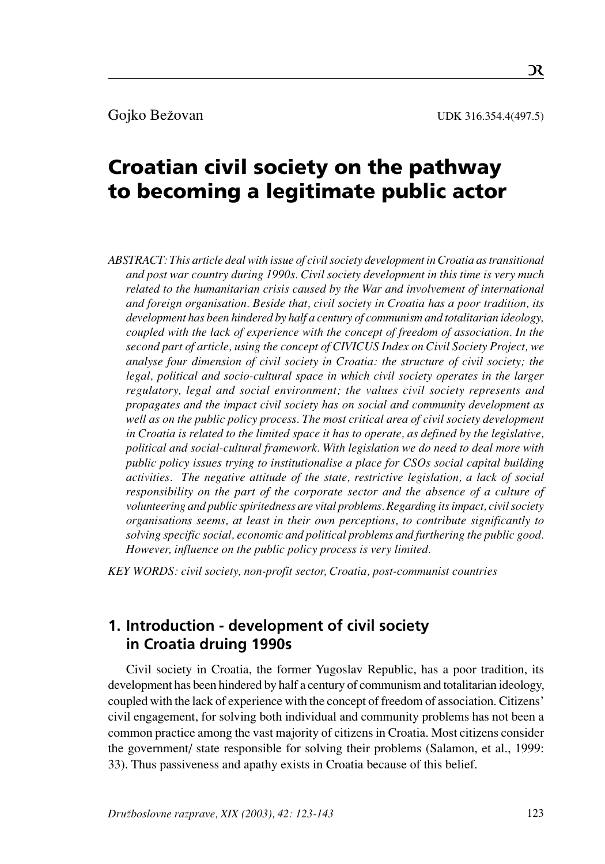# Croatian civil society on the pathway to becoming a legitimate public actor

*ABSTRACT: This article deal with issue of civil society development in Croatia as transitional and post war country during 1990s. Civil society development in this time is very much related to the humanitarian crisis caused by the War and involvement of international and foreign organisation. Beside that, civil society in Croatia has a poor tradition, its development has been hindered by half a century of communism and totalitarian ideology, coupled with the lack of experience with the concept of freedom of association. In the second part of article, using the concept of CIVICUS Index on Civil Society Project, we analyse four dimension of civil society in Croatia: the structure of civil society; the legal, political and socio-cultural space in which civil society operates in the larger regulatory, legal and social environment; the values civil society represents and propagates and the impact civil society has on social and community development as well as on the public policy process. The most critical area of civil society development in Croatia is related to the limited space it has to operate, as defined by the legislative, political and social-cultural framework. With legislation we do need to deal more with public policy issues trying to institutionalise a place for CSOs social capital building activities. The negative attitude of the state, restrictive legislation, a lack of social responsibility on the part of the corporate sector and the absence of a culture of volunteering and public spiritedness are vital problems. Regarding its impact, civil society organisations seems, at least in their own perceptions, to contribute significantly to solving specific social, economic and political problems and furthering the public good. However, influence on the public policy process is very limited.*

*KEY WORDS: civil society, non-profit sector, Croatia, post-communist countries*

# **1. Introduction - development of civil society in Croatia druing 1990s**

Civil society in Croatia, the former Yugoslav Republic, has a poor tradition, its development has been hindered by half a century of communism and totalitarian ideology, coupled with the lack of experience with the concept of freedom of association. Citizens' civil engagement, for solving both individual and community problems has not been a common practice among the vast majority of citizens in Croatia. Most citizens consider the government/ state responsible for solving their problems (Salamon, et al., 1999: 33). Thus passiveness and apathy exists in Croatia because of this belief.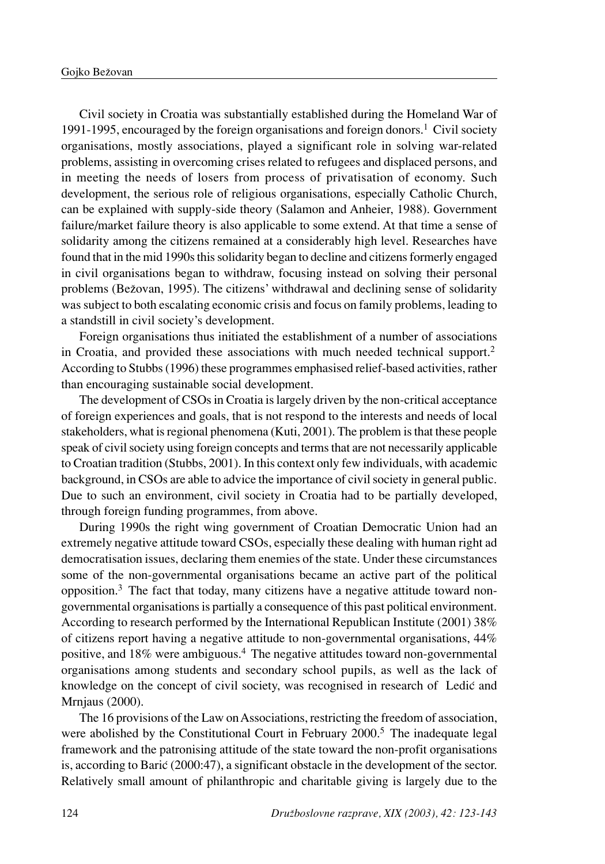Civil society in Croatia was substantially established during the Homeland War of 1991-1995, encouraged by the foreign organisations and foreign donors.<sup>1</sup> Civil society organisations, mostly associations, played a significant role in solving war-related problems, assisting in overcoming crises related to refugees and displaced persons, and in meeting the needs of losers from process of privatisation of economy. Such development, the serious role of religious organisations, especially Catholic Church, can be explained with supply-side theory (Salamon and Anheier, 1988). Government failure/market failure theory is also applicable to some extend. At that time a sense of solidarity among the citizens remained at a considerably high level. Researches have found that in the mid 1990s this solidarity began to decline and citizens formerly engaged in civil organisations began to withdraw, focusing instead on solving their personal problems (Beæovan, 1995). The citizens' withdrawal and declining sense of solidarity was subject to both escalating economic crisis and focus on family problems, leading to a standstill in civil society's development.

Foreign organisations thus initiated the establishment of a number of associations in Croatia, and provided these associations with much needed technical support.<sup>2</sup> According to Stubbs (1996) these programmes emphasised relief-based activities, rather than encouraging sustainable social development.

The development of CSOs in Croatia is largely driven by the non-critical acceptance of foreign experiences and goals, that is not respond to the interests and needs of local stakeholders, what is regional phenomena (Kuti, 2001). The problem is that these people speak of civil society using foreign concepts and terms that are not necessarily applicable to Croatian tradition (Stubbs, 2001). In this context only few individuals, with academic background, in CSOs are able to advice the importance of civil society in general public. Due to such an environment, civil society in Croatia had to be partially developed, through foreign funding programmes, from above.

During 1990s the right wing government of Croatian Democratic Union had an extremely negative attitude toward CSOs, especially these dealing with human right ad democratisation issues, declaring them enemies of the state. Under these circumstances some of the non-governmental organisations became an active part of the political opposition. $3$  The fact that today, many citizens have a negative attitude toward nongovernmental organisations is partially a consequence of this past political environment. According to research performed by the International Republican Institute (2001) 38% of citizens report having a negative attitude to non-governmental organisations, 44% positive, and 18% were ambiguous.4 The negative attitudes toward non-governmental organisations among students and secondary school pupils, as well as the lack of knowledge on the concept of civil society, was recognised in research of Ledic and Mrnjaus (2000).

The 16 provisions of the Law on Associations, restricting the freedom of association, were abolished by the Constitutional Court in February 2000.<sup>5</sup> The inadequate legal framework and the patronising attitude of the state toward the non-profit organisations is, according to Barić  $(2000:47)$ , a significant obstacle in the development of the sector. Relatively small amount of philanthropic and charitable giving is largely due to the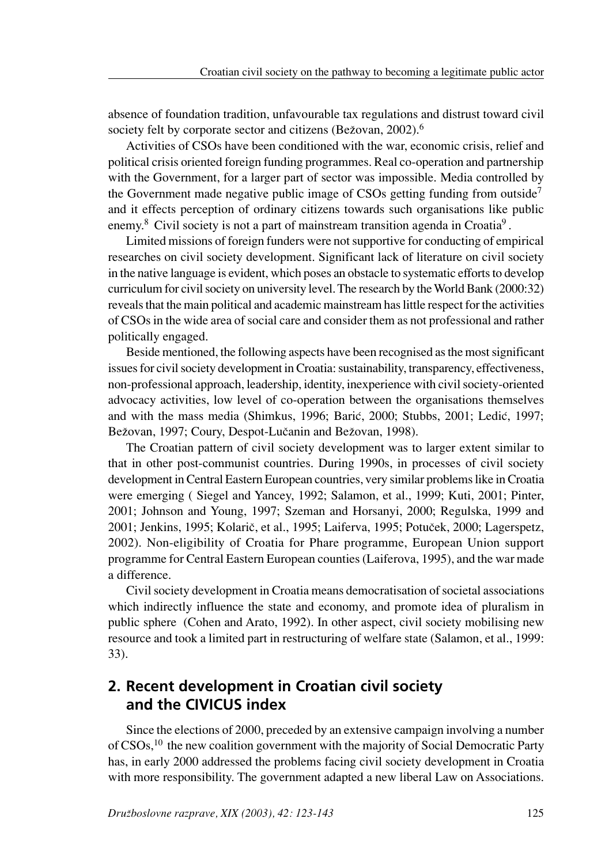absence of foundation tradition, unfavourable tax regulations and distrust toward civil society felt by corporate sector and citizens (Bežovan,  $2002$ ).<sup>6</sup>

Activities of CSOs have been conditioned with the war, economic crisis, relief and political crisis oriented foreign funding programmes. Real co-operation and partnership with the Government, for a larger part of sector was impossible. Media controlled by the Government made negative public image of CSOs getting funding from outside<sup>7</sup> and it effects perception of ordinary citizens towards such organisations like public enemy.<sup>8</sup> Civil society is not a part of mainstream transition agenda in Croatia<sup>9</sup>.

Limited missions of foreign funders were not supportive for conducting of empirical researches on civil society development. Significant lack of literature on civil society in the native language is evident, which poses an obstacle to systematic efforts to develop curriculum for civil society on university level. The research by the World Bank (2000:32) reveals that the main political and academic mainstream has little respect for the activities of CSOs in the wide area of social care and consider them as not professional and rather politically engaged.

Beside mentioned, the following aspects have been recognised as the most significant issues for civil society development in Croatia: sustainability, transparency, effectiveness, non-professional approach, leadership, identity, inexperience with civil society-oriented advocacy activities, low level of co-operation between the organisations themselves and with the mass media (Shimkus, 1996; Barić, 2000; Stubbs, 2001; Ledić, 1997; Bežovan, 1997; Coury, Despot-Lučanin and Bežovan, 1998).

The Croatian pattern of civil society development was to larger extent similar to that in other post-communist countries. During 1990s, in processes of civil society development in Central Eastern European countries, very similar problems like in Croatia were emerging ( Siegel and Yancey, 1992; Salamon, et al., 1999; Kuti, 2001; Pinter, 2001; Johnson and Young, 1997; Szeman and Horsanyi, 2000; Regulska, 1999 and 2001; Jenkins, 1995; Kolarič, et al., 1995; Laiferva, 1995; Potuček, 2000; Lagerspetz, 2002). Non-eligibility of Croatia for Phare programme, European Union support programme for Central Eastern European counties (Laiferova, 1995), and the war made a difference.

Civil society development in Croatia means democratisation of societal associations which indirectly influence the state and economy, and promote idea of pluralism in public sphere (Cohen and Arato, 1992). In other aspect, civil society mobilising new resource and took a limited part in restructuring of welfare state (Salamon, et al., 1999: 33).

# **2. Recent development in Croatian civil society and the CIVICUS index**

Since the elections of 2000, preceded by an extensive campaign involving a number of CSOs,<sup>10</sup> the new coalition government with the majority of Social Democratic Party has, in early 2000 addressed the problems facing civil society development in Croatia with more responsibility. The government adapted a new liberal Law on Associations.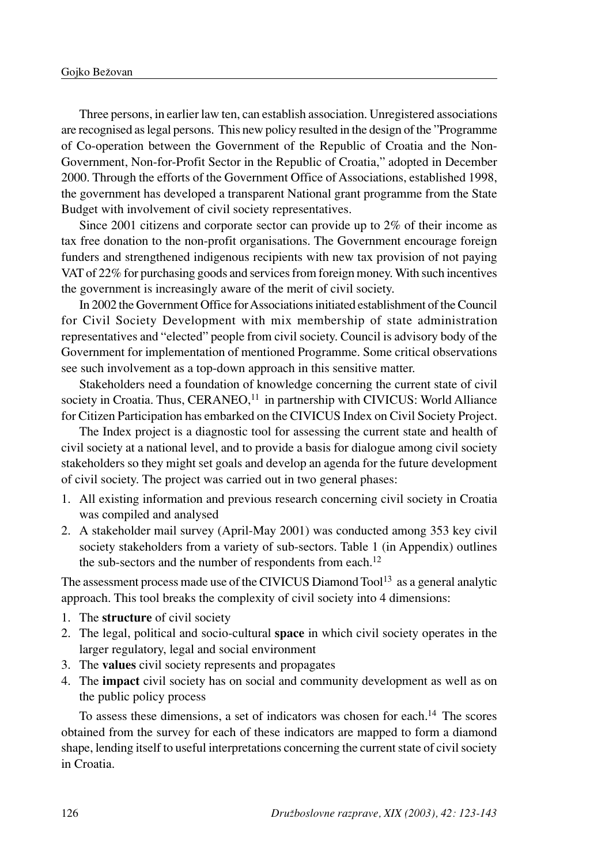Three persons, in earlier law ten, can establish association. Unregistered associations are recognised as legal persons. This new policy resulted in the design of the "Programme of Co-operation between the Government of the Republic of Croatia and the Non-Government, Non-for-Profit Sector in the Republic of Croatia," adopted in December 2000. Through the efforts of the Government Office of Associations, established 1998, the government has developed a transparent National grant programme from the State Budget with involvement of civil society representatives.

Since 2001 citizens and corporate sector can provide up to 2% of their income as tax free donation to the non-profit organisations. The Government encourage foreign funders and strengthened indigenous recipients with new tax provision of not paying VAT of 22% for purchasing goods and services from foreign money. With such incentives the government is increasingly aware of the merit of civil society.

In 2002 the Government Office for Associations initiated establishment of the Council for Civil Society Development with mix membership of state administration representatives and "elected" people from civil society. Council is advisory body of the Government for implementation of mentioned Programme. Some critical observations see such involvement as a top-down approach in this sensitive matter.

Stakeholders need a foundation of knowledge concerning the current state of civil society in Croatia. Thus,  $CERANEO<sub>11</sub><sup>11</sup>$  in partnership with CIVICUS: World Alliance for Citizen Participation has embarked on the CIVICUS Index on Civil Society Project.

The Index project is a diagnostic tool for assessing the current state and health of civil society at a national level, and to provide a basis for dialogue among civil society stakeholders so they might set goals and develop an agenda for the future development of civil society. The project was carried out in two general phases:

- 1. All existing information and previous research concerning civil society in Croatia was compiled and analysed
- 2. A stakeholder mail survey (April-May 2001) was conducted among 353 key civil society stakeholders from a variety of sub-sectors. Table 1 (in Appendix) outlines the sub-sectors and the number of respondents from each.<sup>12</sup>

The assessment process made use of the CIVICUS Diamond  $Tool<sup>13</sup>$  as a general analytic approach. This tool breaks the complexity of civil society into 4 dimensions:

- 1. The **structure** of civil society
- 2. The legal, political and socio-cultural **space** in which civil society operates in the larger regulatory, legal and social environment
- 3. The **values** civil society represents and propagates
- 4. The **impact** civil society has on social and community development as well as on the public policy process

To assess these dimensions, a set of indicators was chosen for each.14 The scores obtained from the survey for each of these indicators are mapped to form a diamond shape, lending itself to useful interpretations concerning the current state of civil society in Croatia.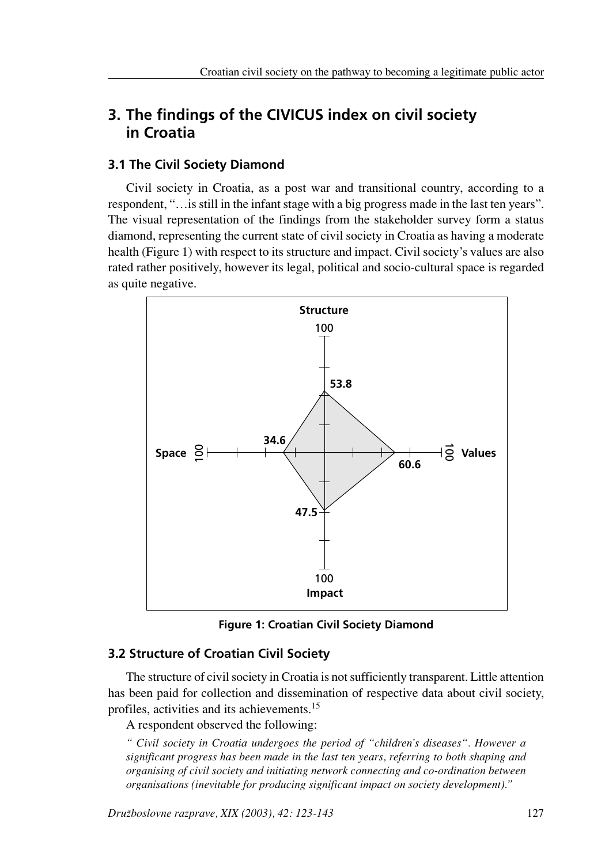# **3. The findings of the CIVICUS index on civil society in Croatia**

# **3.1 The Civil Society Diamond**

Civil society in Croatia, as a post war and transitional country, according to a respondent, "…is still in the infant stage with a big progress made in the last ten years". The visual representation of the findings from the stakeholder survey form a status diamond, representing the current state of civil society in Croatia as having a moderate health (Figure 1) with respect to its structure and impact. Civil society's values are also rated rather positively, however its legal, political and socio-cultural space is regarded as quite negative.



**Figure 1: Croatian Civil Society Diamond**

# **3.2 Structure of Croatian Civil Society**

The structure of civil society in Croatia is not sufficiently transparent. Little attention has been paid for collection and dissemination of respective data about civil society, profiles, activities and its achievements.15

A respondent observed the following:

*" Civil society in Croatia undergoes the period of "children's diseases". However a significant progress has been made in the last ten years, referring to both shaping and organising of civil society and initiating network connecting and co-ordination between organisations (inevitable for producing significant impact on society development)."*

*Druæboslovne razprave, XIX (2003), 42: 123-143* 127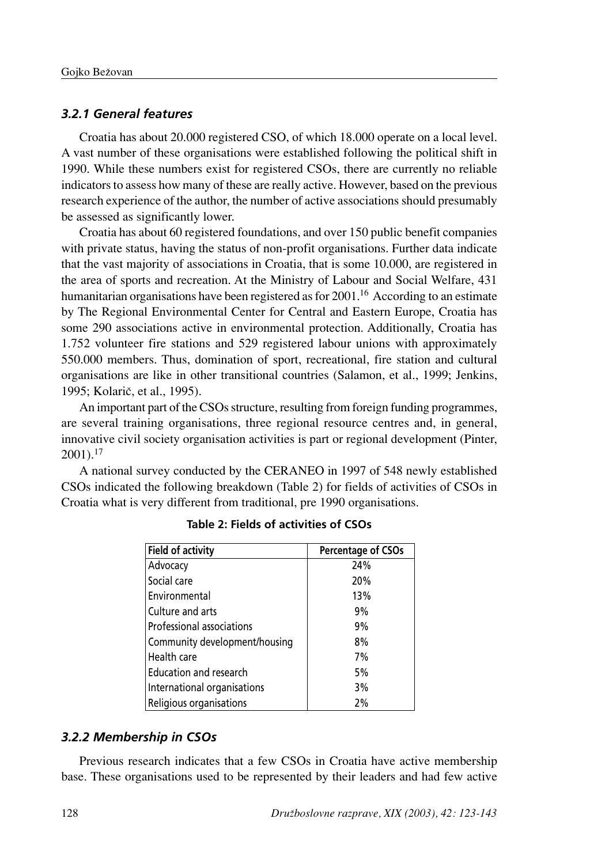# *3.2.1 General features*

Croatia has about 20.000 registered CSO, of which 18.000 operate on a local level. A vast number of these organisations were established following the political shift in 1990. While these numbers exist for registered CSOs, there are currently no reliable indicators to assess how many of these are really active. However, based on the previous research experience of the author, the number of active associations should presumably be assessed as significantly lower.

Croatia has about 60 registered foundations, and over 150 public benefit companies with private status, having the status of non-profit organisations. Further data indicate that the vast majority of associations in Croatia, that is some 10.000, are registered in the area of sports and recreation. At the Ministry of Labour and Social Welfare, 431 humanitarian organisations have been registered as for  $2001<sup>16</sup>$  According to an estimate by The Regional Environmental Center for Central and Eastern Europe, Croatia has some 290 associations active in environmental protection. Additionally, Croatia has 1.752 volunteer fire stations and 529 registered labour unions with approximately 550.000 members. Thus, domination of sport, recreational, fire station and cultural organisations are like in other transitional countries (Salamon, et al., 1999; Jenkins, 1995; Kolarič, et al., 1995).

An important part of the CSOs structure, resulting from foreign funding programmes, are several training organisations, three regional resource centres and, in general, innovative civil society organisation activities is part or regional development (Pinter,  $2001$ ).<sup>17</sup>

A national survey conducted by the CERANEO in 1997 of 548 newly established CSOs indicated the following breakdown (Table 2) for fields of activities of CSOs in Croatia what is very different from traditional, pre 1990 organisations.

| <b>Field of activity</b>      | <b>Percentage of CSOs</b> |
|-------------------------------|---------------------------|
| Advocacy                      | 24%                       |
| Social care                   | 20%                       |
| Environmental                 | 13%                       |
| Culture and arts              | 9%                        |
| Professional associations     | 9%                        |
| Community development/housing | 8%                        |
| Health care                   | 7%                        |
| <b>Education and research</b> | 5%                        |
| International organisations   | 3%                        |
| Religious organisations       | 2%                        |

**Table 2: Fields of activities of CSOs**

# *3.2.2 Membership in CSOs*

Previous research indicates that a few CSOs in Croatia have active membership base. These organisations used to be represented by their leaders and had few active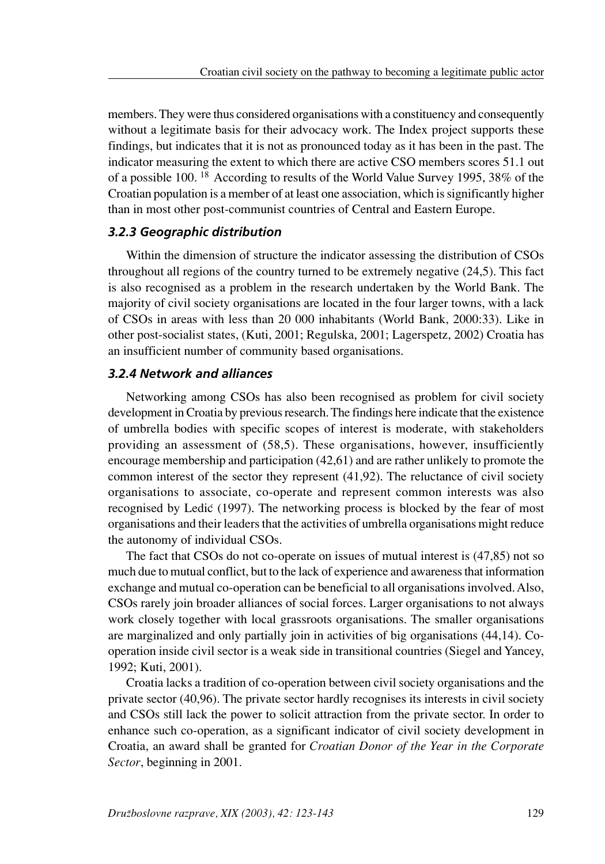members. They were thus considered organisations with a constituency and consequently without a legitimate basis for their advocacy work. The Index project supports these findings, but indicates that it is not as pronounced today as it has been in the past. The indicator measuring the extent to which there are active CSO members scores 51.1 out of a possible 100. 18 According to results of the World Value Survey 1995, 38% of the Croatian population is a member of at least one association, which is significantly higher than in most other post-communist countries of Central and Eastern Europe.

### *3.2.3 Geographic distribution*

Within the dimension of structure the indicator assessing the distribution of CSOs throughout all regions of the country turned to be extremely negative (24,5). This fact is also recognised as a problem in the research undertaken by the World Bank. The majority of civil society organisations are located in the four larger towns, with a lack of CSOs in areas with less than 20 000 inhabitants (World Bank, 2000:33). Like in other post-socialist states, (Kuti, 2001; Regulska, 2001; Lagerspetz, 2002) Croatia has an insufficient number of community based organisations.

# *3.2.4 Network and alliances*

Networking among CSOs has also been recognised as problem for civil society development in Croatia by previous research. The findings here indicate that the existence of umbrella bodies with specific scopes of interest is moderate, with stakeholders providing an assessment of (58,5). These organisations, however, insufficiently encourage membership and participation (42,61) and are rather unlikely to promote the common interest of the sector they represent (41,92). The reluctance of civil society organisations to associate, co-operate and represent common interests was also recognised by Ledic (1997). The networking process is blocked by the fear of most organisations and their leaders that the activities of umbrella organisations might reduce the autonomy of individual CSOs.

The fact that CSOs do not co-operate on issues of mutual interest is (47,85) not so much due to mutual conflict, but to the lack of experience and awareness that information exchange and mutual co-operation can be beneficial to all organisations involved. Also, CSOs rarely join broader alliances of social forces. Larger organisations to not always work closely together with local grassroots organisations. The smaller organisations are marginalized and only partially join in activities of big organisations (44,14). Cooperation inside civil sector is a weak side in transitional countries (Siegel and Yancey, 1992; Kuti, 2001).

Croatia lacks a tradition of co-operation between civil society organisations and the private sector (40,96). The private sector hardly recognises its interests in civil society and CSOs still lack the power to solicit attraction from the private sector. In order to enhance such co-operation, as a significant indicator of civil society development in Croatia, an award shall be granted for *Croatian Donor of the Year in the Corporate Sector*, beginning in 2001.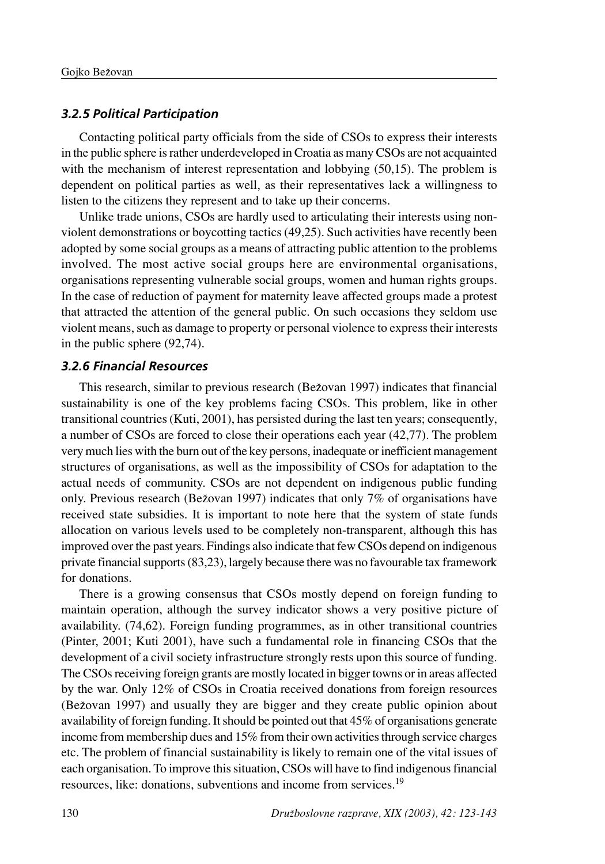## *3.2.5 Political Participation*

Contacting political party officials from the side of CSOs to express their interests in the public sphere is rather underdeveloped in Croatia as many CSOs are not acquainted with the mechanism of interest representation and lobbying (50,15). The problem is dependent on political parties as well, as their representatives lack a willingness to listen to the citizens they represent and to take up their concerns.

Unlike trade unions, CSOs are hardly used to articulating their interests using nonviolent demonstrations or boycotting tactics (49,25). Such activities have recently been adopted by some social groups as a means of attracting public attention to the problems involved. The most active social groups here are environmental organisations, organisations representing vulnerable social groups, women and human rights groups. In the case of reduction of payment for maternity leave affected groups made a protest that attracted the attention of the general public. On such occasions they seldom use violent means, such as damage to property or personal violence to express their interests in the public sphere (92,74).

#### *3.2.6 Financial Resources*

This research, similar to previous research (Beæovan 1997) indicates that financial sustainability is one of the key problems facing CSOs. This problem, like in other transitional countries (Kuti, 2001), has persisted during the last ten years; consequently, a number of CSOs are forced to close their operations each year (42,77). The problem very much lies with the burn out of the key persons, inadequate or inefficient management structures of organisations, as well as the impossibility of CSOs for adaptation to the actual needs of community. CSOs are not dependent on indigenous public funding only. Previous research (Beæovan 1997) indicates that only 7% of organisations have received state subsidies. It is important to note here that the system of state funds allocation on various levels used to be completely non-transparent, although this has improved over the past years. Findings also indicate that few CSOs depend on indigenous private financial supports (83,23), largely because there was no favourable tax framework for donations.

There is a growing consensus that CSOs mostly depend on foreign funding to maintain operation, although the survey indicator shows a very positive picture of availability. (74,62). Foreign funding programmes, as in other transitional countries (Pinter, 2001; Kuti 2001), have such a fundamental role in financing CSOs that the development of a civil society infrastructure strongly rests upon this source of funding. The CSOs receiving foreign grants are mostly located in bigger towns or in areas affected by the war. Only 12% of CSOs in Croatia received donations from foreign resources (Bežovan 1997) and usually they are bigger and they create public opinion about availability of foreign funding. It should be pointed out that 45% of organisations generate income from membership dues and 15% from their own activities through service charges etc. The problem of financial sustainability is likely to remain one of the vital issues of each organisation. To improve this situation, CSOs will have to find indigenous financial resources, like: donations, subventions and income from services.19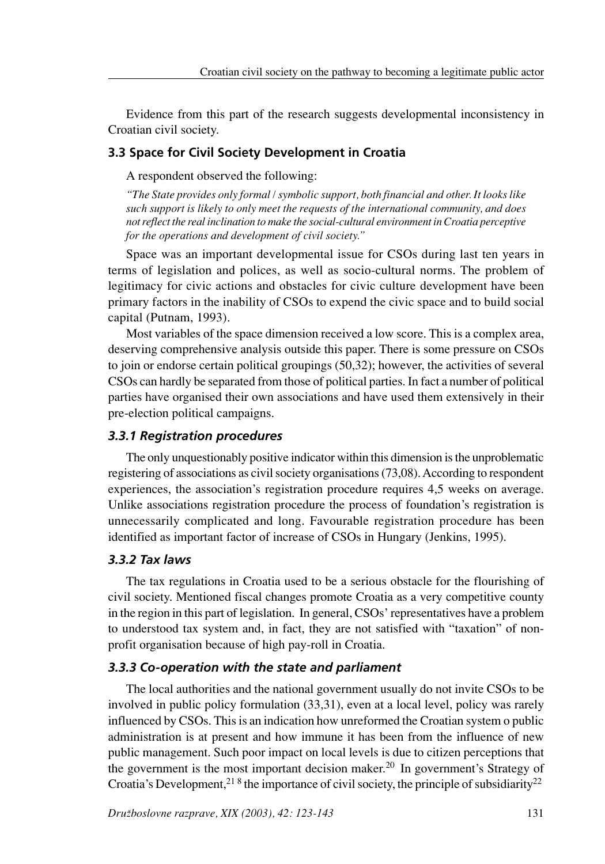Evidence from this part of the research suggests developmental inconsistency in Croatian civil society.

# **3.3 Space for Civil Society Development in Croatia**

A respondent observed the following:

*"The State provides only formal / symbolic support, both financial and other. It looks like such support is likely to only meet the requests of the international community, and does not reflect the real inclination to make the social-cultural environment in Croatia perceptive for the operations and development of civil society."*

Space was an important developmental issue for CSOs during last ten years in terms of legislation and polices, as well as socio-cultural norms. The problem of legitimacy for civic actions and obstacles for civic culture development have been primary factors in the inability of CSOs to expend the civic space and to build social capital (Putnam, 1993).

Most variables of the space dimension received a low score. This is a complex area, deserving comprehensive analysis outside this paper. There is some pressure on CSOs to join or endorse certain political groupings (50,32); however, the activities of several CSOs can hardly be separated from those of political parties. In fact a number of political parties have organised their own associations and have used them extensively in their pre-election political campaigns.

# *3.3.1 Registration procedures*

The only unquestionably positive indicator within this dimension is the unproblematic registering of associations as civil society organisations (73,08). According to respondent experiences, the association's registration procedure requires 4,5 weeks on average. Unlike associations registration procedure the process of foundation's registration is unnecessarily complicated and long. Favourable registration procedure has been identified as important factor of increase of CSOs in Hungary (Jenkins, 1995).

# *3.3.2 Tax laws*

The tax regulations in Croatia used to be a serious obstacle for the flourishing of civil society. Mentioned fiscal changes promote Croatia as a very competitive county in the region in this part of legislation. In general, CSOs' representatives have a problem to understood tax system and, in fact, they are not satisfied with "taxation" of nonprofit organisation because of high pay-roll in Croatia.

# *3.3.3 Co-operation with the state and parliament*

The local authorities and the national government usually do not invite CSOs to be involved in public policy formulation (33,31), even at a local level, policy was rarely influenced by CSOs. This is an indication how unreformed the Croatian system o public administration is at present and how immune it has been from the influence of new public management. Such poor impact on local levels is due to citizen perceptions that the government is the most important decision maker. 20 In government's Strategy of Croatia's Development,<sup>21 8</sup> the importance of civil society, the principle of subsidiarity<sup>22</sup>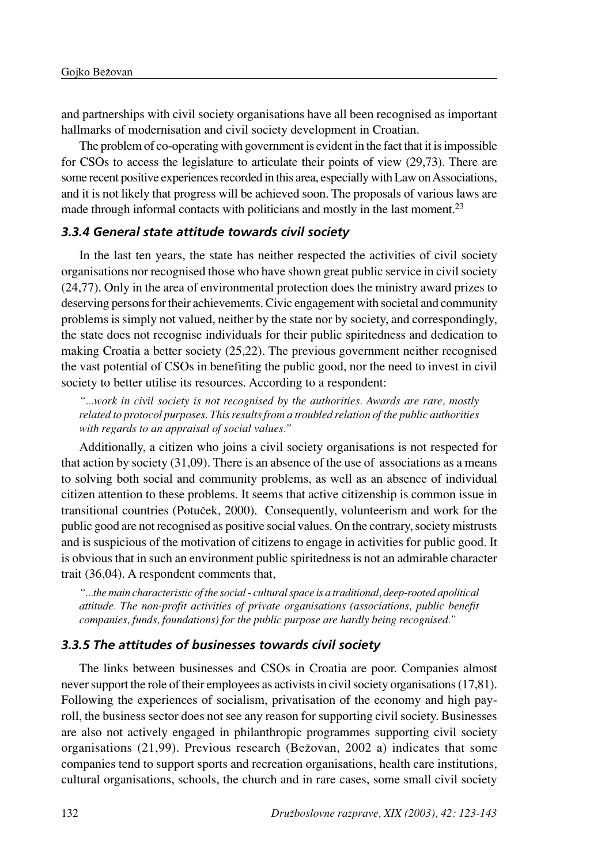and partnerships with civil society organisations have all been recognised as important hallmarks of modernisation and civil society development in Croatian.

The problem of co-operating with government is evident in the fact that it is impossible for CSOs to access the legislature to articulate their points of view (29,73). There are some recent positive experiences recorded in this area, especially with Law on Associations, and it is not likely that progress will be achieved soon. The proposals of various laws are made through informal contacts with politicians and mostly in the last moment.<sup>23</sup>

### *3.3.4 General state attitude towards civil society*

In the last ten years, the state has neither respected the activities of civil society organisations nor recognised those who have shown great public service in civil society (24,77). Only in the area of environmental protection does the ministry award prizes to deserving persons for their achievements. Civic engagement with societal and community problems is simply not valued, neither by the state nor by society, and correspondingly, the state does not recognise individuals for their public spiritedness and dedication to making Croatia a better society (25,22). The previous government neither recognised the vast potential of CSOs in benefiting the public good, nor the need to invest in civil society to better utilise its resources. According to a respondent:

*"...work in civil society is not recognised by the authorities. Awards are rare, mostly related to protocol purposes. This results from a troubled relation of the public authorities with regards to an appraisal of social values."*

Additionally, a citizen who joins a civil society organisations is not respected for that action by society (31,09). There is an absence of the use of associations as a means to solving both social and community problems, as well as an absence of individual citizen attention to these problems. It seems that active citizenship is common issue in transitional countries (PotuËek, 2000). Consequently, volunteerism and work for the public good are not recognised as positive social values. On the contrary, society mistrusts and is suspicious of the motivation of citizens to engage in activities for public good. It is obvious that in such an environment public spiritedness is not an admirable character trait (36,04). A respondent comments that,

*"...the main characteristic of the social - cultural space is a traditional, deep-rooted apolitical attitude. The non-profit activities of private organisations (associations, public benefit companies, funds, foundations) for the public purpose are hardly being recognised."*

### *3.3.5 The attitudes of businesses towards civil society*

The links between businesses and CSOs in Croatia are poor. Companies almost never support the role of their employees as activists in civil society organisations (17,81). Following the experiences of socialism, privatisation of the economy and high payroll, the business sector does not see any reason for supporting civil society. Businesses are also not actively engaged in philanthropic programmes supporting civil society organisations (21,99). Previous research (Beæovan, 2002 a) indicates that some companies tend to support sports and recreation organisations, health care institutions, cultural organisations, schools, the church and in rare cases, some small civil society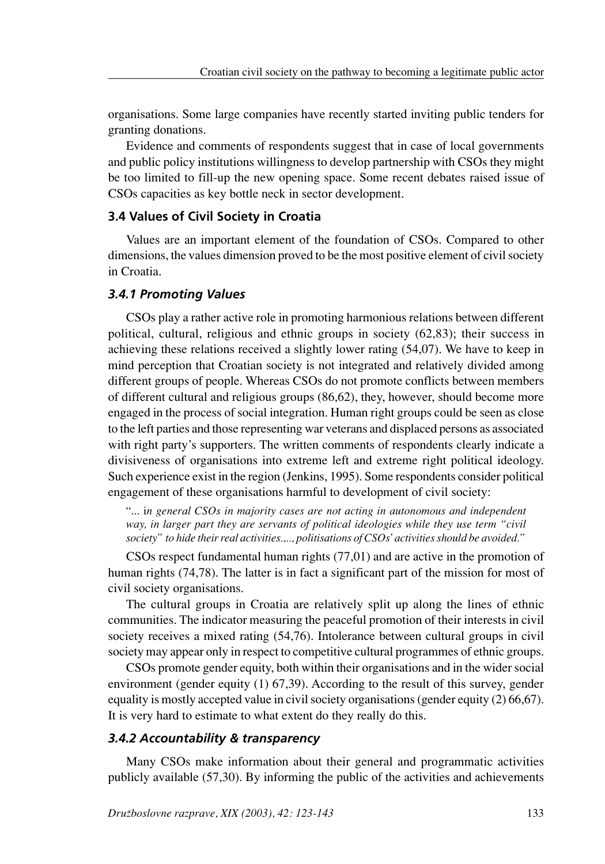organisations. Some large companies have recently started inviting public tenders for granting donations.

Evidence and comments of respondents suggest that in case of local governments and public policy institutions willingness to develop partnership with CSOs they might be too limited to fill-up the new opening space. Some recent debates raised issue of CSOs capacities as key bottle neck in sector development.

### **3.4 Values of Civil Society in Croatia**

Values are an important element of the foundation of CSOs. Compared to other dimensions, the values dimension proved to be the most positive element of civil society in Croatia.

# *3.4.1 Promoting Values*

CSOs play a rather active role in promoting harmonious relations between different political, cultural, religious and ethnic groups in society (62,83); their success in achieving these relations received a slightly lower rating (54,07). We have to keep in mind perception that Croatian society is not integrated and relatively divided among different groups of people. Whereas CSOs do not promote conflicts between members of different cultural and religious groups (86,62), they, however, should become more engaged in the process of social integration. Human right groups could be seen as close to the left parties and those representing war veterans and displaced persons as associated with right party's supporters. The written comments of respondents clearly indicate a divisiveness of organisations into extreme left and extreme right political ideology. Such experience exist in the region (Jenkins, 1995). Some respondents consider political engagement of these organisations harmful to development of civil society:

"... i*n general CSOs in majority cases are not acting in autonomous and independent way, in larger part they are servants of political ideologies while they use term "civil society" to hide their real activities.,.., politisations of CSOs' activities should be avoided."*

CSOs respect fundamental human rights (77,01) and are active in the promotion of human rights (74,78). The latter is in fact a significant part of the mission for most of civil society organisations.

The cultural groups in Croatia are relatively split up along the lines of ethnic communities. The indicator measuring the peaceful promotion of their interests in civil society receives a mixed rating (54,76). Intolerance between cultural groups in civil society may appear only in respect to competitive cultural programmes of ethnic groups.

CSOs promote gender equity, both within their organisations and in the wider social environment (gender equity (1) 67,39). According to the result of this survey, gender equality is mostly accepted value in civil society organisations (gender equity (2) 66,67). It is very hard to estimate to what extent do they really do this.

#### *3.4.2 Accountability & transparency*

Many CSOs make information about their general and programmatic activities publicly available (57,30). By informing the public of the activities and achievements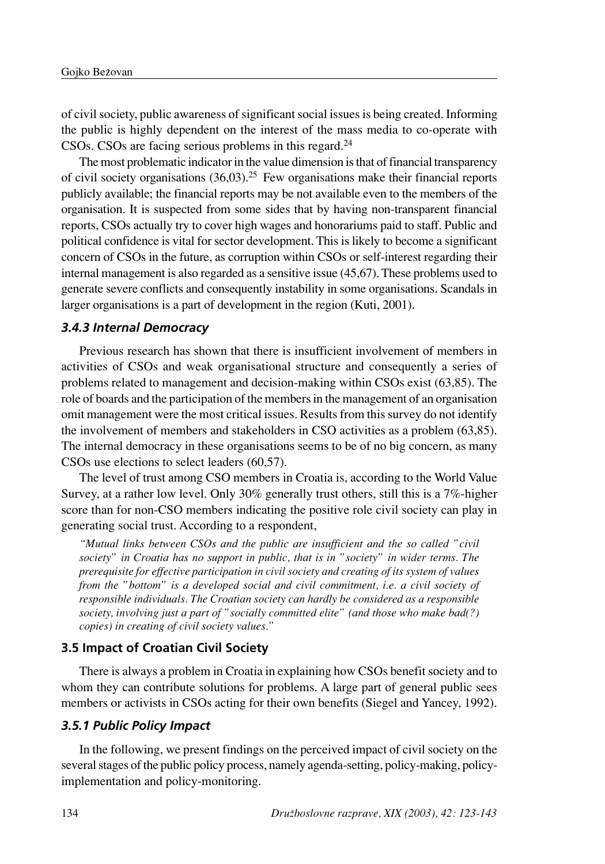of civil society, public awareness of significant social issues is being created. Informing the public is highly dependent on the interest of the mass media to co-operate with CSOs. CSOs are facing serious problems in this regard.24

The most problematic indicator in the value dimension is that of financial transparency of civil society organisations  $(36,03)$ <sup>25</sup> Few organisations make their financial reports publicly available; the financial reports may be not available even to the members of the organisation. It is suspected from some sides that by having non-transparent financial reports, CSOs actually try to cover high wages and honorariums paid to staff. Public and political confidence is vital for sector development. This is likely to become a significant concern of CSOs in the future, as corruption within CSOs or self-interest regarding their internal management is also regarded as a sensitive issue (45,67). These problems used to generate severe conflicts and consequently instability in some organisations. Scandals in larger organisations is a part of development in the region (Kuti, 2001).

### *3.4.3 Internal Democracy*

Previous research has shown that there is insufficient involvement of members in activities of CSOs and weak organisational structure and consequently a series of problems related to management and decision-making within CSOs exist (63,85). The role of boards and the participation of the members in the management of an organisation omit management were the most critical issues. Results from this survey do not identify the involvement of members and stakeholders in CSO activities as a problem (63,85). The internal democracy in these organisations seems to be of no big concern, as many CSOs use elections to select leaders (60,57).

The level of trust among CSO members in Croatia is, according to the World Value Survey, at a rather low level. Only 30% generally trust others, still this is a 7%-higher score than for non-CSO members indicating the positive role civil society can play in generating social trust. According to a respondent,

*"Mutual links between CSOs and the public are insufficient and the so called "civil society" in Croatia has no support in public, that is in "society" in wider terms. The prerequisite for effective participation in civil society and creating of its system of values from the "bottom" is a developed social and civil commitment, i.e. a civil society of responsible individuals. The Croatian society can hardly be considered as a responsible society, involving just a part of "socially committed elite" (and those who make bad(?) copies) in creating of civil society values."*

## **3.5 Impact of Croatian Civil Society**

There is always a problem in Croatia in explaining how CSOs benefit society and to whom they can contribute solutions for problems. A large part of general public sees members or activists in CSOs acting for their own benefits (Siegel and Yancey, 1992).

### *3.5.1 Public Policy Impact*

In the following, we present findings on the perceived impact of civil society on the several stages of the public policy process, namely agenda-setting, policy-making, policyimplementation and policy-monitoring.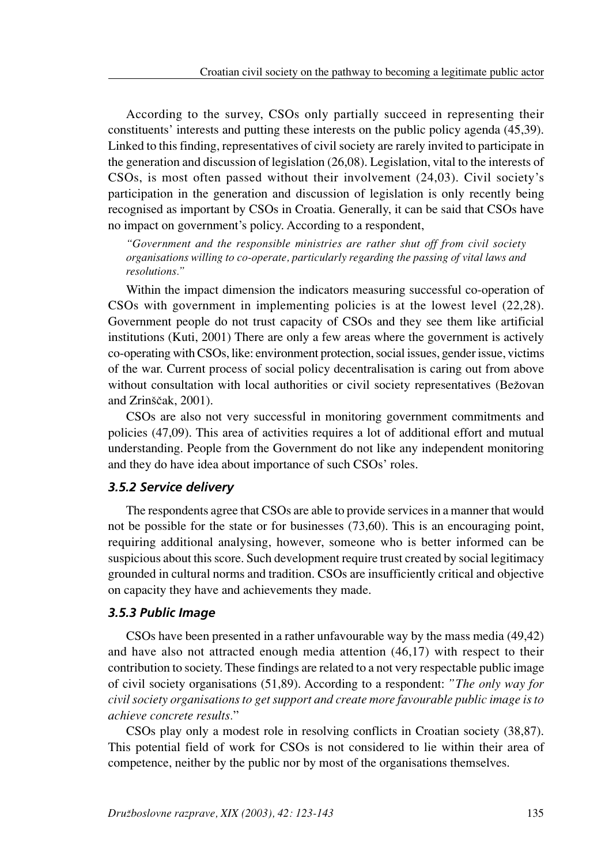According to the survey, CSOs only partially succeed in representing their constituents' interests and putting these interests on the public policy agenda (45,39). Linked to this finding, representatives of civil society are rarely invited to participate in the generation and discussion of legislation (26,08). Legislation, vital to the interests of CSOs, is most often passed without their involvement (24,03). Civil society's participation in the generation and discussion of legislation is only recently being recognised as important by CSOs in Croatia. Generally, it can be said that CSOs have no impact on government's policy. According to a respondent,

*"Government and the responsible ministries are rather shut off from civil society organisations willing to co-operate, particularly regarding the passing of vital laws and resolutions."*

Within the impact dimension the indicators measuring successful co-operation of CSOs with government in implementing policies is at the lowest level (22,28). Government people do not trust capacity of CSOs and they see them like artificial institutions (Kuti, 2001) There are only a few areas where the government is actively co-operating with CSOs, like: environment protection, social issues, gender issue, victims of the war. Current process of social policy decentralisation is caring out from above without consultation with local authorities or civil society representatives (Bežovan and Zrinščak, 2001).

CSOs are also not very successful in monitoring government commitments and policies (47,09). This area of activities requires a lot of additional effort and mutual understanding. People from the Government do not like any independent monitoring and they do have idea about importance of such CSOs' roles.

### *3.5.2 Service delivery*

The respondents agree that CSOs are able to provide services in a manner that would not be possible for the state or for businesses (73,60). This is an encouraging point, requiring additional analysing, however, someone who is better informed can be suspicious about this score. Such development require trust created by social legitimacy grounded in cultural norms and tradition. CSOs are insufficiently critical and objective on capacity they have and achievements they made.

### *3.5.3 Public Image*

CSOs have been presented in a rather unfavourable way by the mass media (49,42) and have also not attracted enough media attention (46,17) with respect to their contribution to society. These findings are related to a not very respectable public image of civil society organisations (51,89). According to a respondent: *"The only way for civil society organisations to get support and create more favourable public image is to achieve concrete results.*"

CSOs play only a modest role in resolving conflicts in Croatian society (38,87). This potential field of work for CSOs is not considered to lie within their area of competence, neither by the public nor by most of the organisations themselves.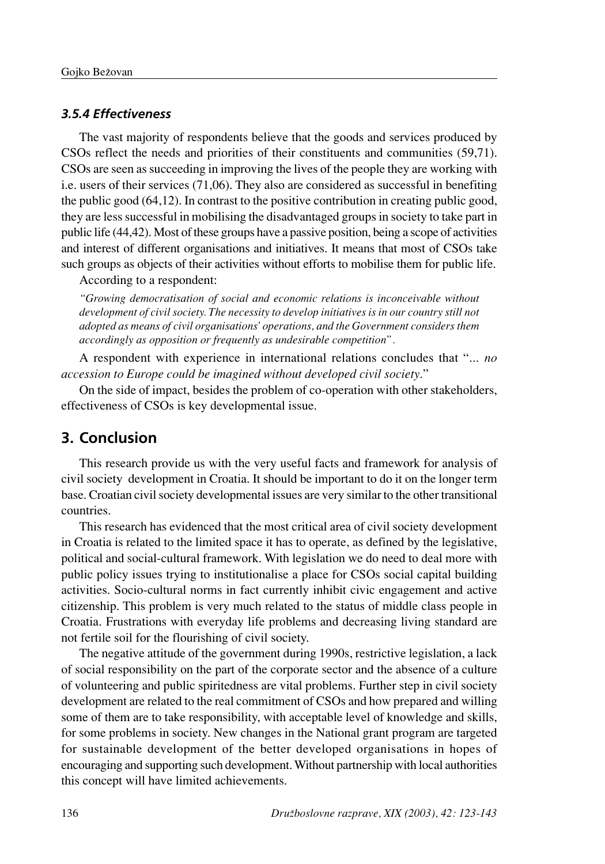### *3.5.4 Effectiveness*

The vast majority of respondents believe that the goods and services produced by CSOs reflect the needs and priorities of their constituents and communities (59,71). CSOs are seen as succeeding in improving the lives of the people they are working with i.e. users of their services (71,06). They also are considered as successful in benefiting the public good (64,12). In contrast to the positive contribution in creating public good, they are less successful in mobilising the disadvantaged groups in society to take part in public life (44,42). Most of these groups have a passive position, being a scope of activities and interest of different organisations and initiatives. It means that most of CSOs take such groups as objects of their activities without efforts to mobilise them for public life.

According to a respondent:

*"Growing democratisation of social and economic relations is inconceivable without development of civil society. The necessity to develop initiatives is in our country still not adopted as means of civil organisations' operations, and the Government considers them accordingly as opposition or frequently as undesirable competition".*

A respondent with experience in international relations concludes that "... *no accession to Europe could be imagined without developed civil society*."

On the side of impact, besides the problem of co-operation with other stakeholders, effectiveness of CSOs is key developmental issue.

# **3. Conclusion**

This research provide us with the very useful facts and framework for analysis of civil society development in Croatia. It should be important to do it on the longer term base. Croatian civil society developmental issues are very similar to the other transitional countries.

This research has evidenced that the most critical area of civil society development in Croatia is related to the limited space it has to operate, as defined by the legislative, political and social-cultural framework. With legislation we do need to deal more with public policy issues trying to institutionalise a place for CSOs social capital building activities. Socio-cultural norms in fact currently inhibit civic engagement and active citizenship. This problem is very much related to the status of middle class people in Croatia. Frustrations with everyday life problems and decreasing living standard are not fertile soil for the flourishing of civil society.

The negative attitude of the government during 1990s, restrictive legislation, a lack of social responsibility on the part of the corporate sector and the absence of a culture of volunteering and public spiritedness are vital problems. Further step in civil society development are related to the real commitment of CSOs and how prepared and willing some of them are to take responsibility, with acceptable level of knowledge and skills, for some problems in society. New changes in the National grant program are targeted for sustainable development of the better developed organisations in hopes of encouraging and supporting such development. Without partnership with local authorities this concept will have limited achievements.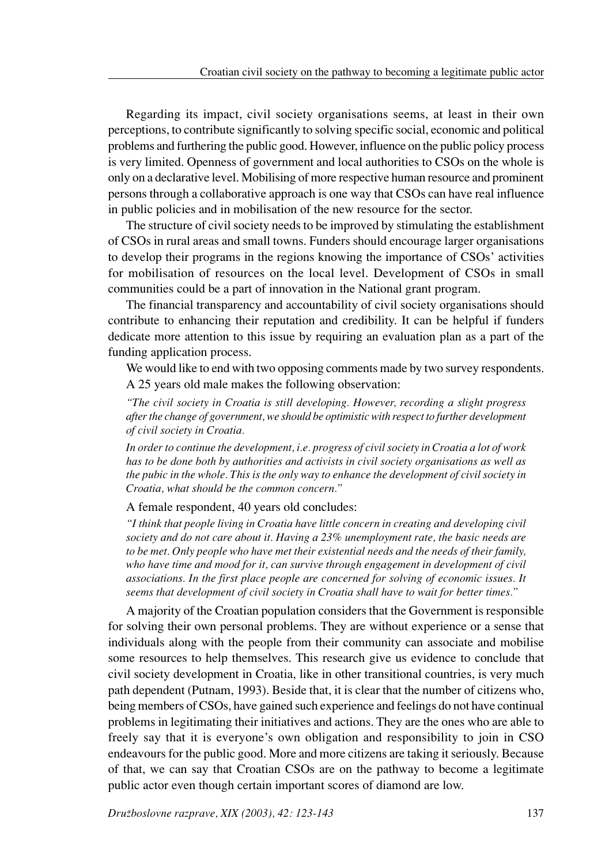Regarding its impact, civil society organisations seems, at least in their own perceptions, to contribute significantly to solving specific social, economic and political problems and furthering the public good. However, influence on the public policy process is very limited. Openness of government and local authorities to CSOs on the whole is only on a declarative level. Mobilising of more respective human resource and prominent persons through a collaborative approach is one way that CSOs can have real influence in public policies and in mobilisation of the new resource for the sector.

The structure of civil society needs to be improved by stimulating the establishment of CSOs in rural areas and small towns. Funders should encourage larger organisations to develop their programs in the regions knowing the importance of CSOs' activities for mobilisation of resources on the local level. Development of CSOs in small communities could be a part of innovation in the National grant program.

The financial transparency and accountability of civil society organisations should contribute to enhancing their reputation and credibility. It can be helpful if funders dedicate more attention to this issue by requiring an evaluation plan as a part of the funding application process.

We would like to end with two opposing comments made by two survey respondents. A 25 years old male makes the following observation:

*"The civil society in Croatia is still developing. However, recording a slight progress after the change of government, we should be optimistic with respect to further development of civil society in Croatia.*

*In order to continue the development, i.e. progress of civil society in Croatia a lot of work has to be done both by authorities and activists in civil society organisations as well as the pubic in the whole. This is the only way to enhance the development of civil society in Croatia, what should be the common concern."*

### A female respondent, 40 years old concludes:

*"I think that people living in Croatia have little concern in creating and developing civil society and do not care about it. Having a 23% unemployment rate, the basic needs are to be met. Only people who have met their existential needs and the needs of their family, who have time and mood for it, can survive through engagement in development of civil associations. In the first place people are concerned for solving of economic issues. It seems that development of civil society in Croatia shall have to wait for better times."*

A majority of the Croatian population considers that the Government is responsible for solving their own personal problems. They are without experience or a sense that individuals along with the people from their community can associate and mobilise some resources to help themselves. This research give us evidence to conclude that civil society development in Croatia, like in other transitional countries, is very much path dependent (Putnam, 1993). Beside that, it is clear that the number of citizens who, being members of CSOs, have gained such experience and feelings do not have continual problems in legitimating their initiatives and actions. They are the ones who are able to freely say that it is everyone's own obligation and responsibility to join in CSO endeavours for the public good. More and more citizens are taking it seriously. Because of that, we can say that Croatian CSOs are on the pathway to become a legitimate public actor even though certain important scores of diamond are low.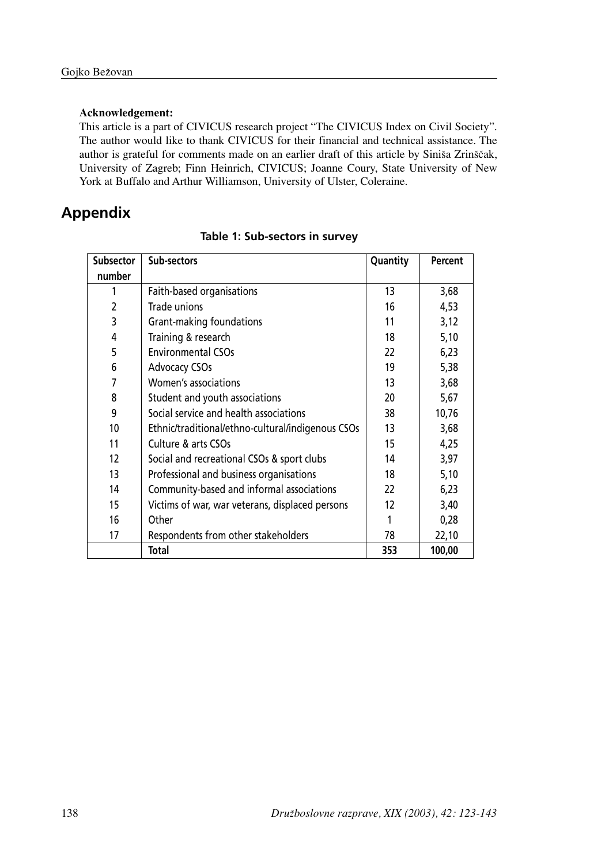#### **Acknowledgement:**

This article is a part of CIVICUS research project "The CIVICUS Index on Civil Society". The author would like to thank CIVICUS for their financial and technical assistance. The author is grateful for comments made on an earlier draft of this article by Siniša Zrinščak, University of Zagreb; Finn Heinrich, CIVICUS; Joanne Coury, State University of New York at Buffalo and Arthur Williamson, University of Ulster, Coleraine.

# **Appendix**

| <b>Subsector</b> | Sub-sectors                                       | Quantity | Percent |
|------------------|---------------------------------------------------|----------|---------|
| number           |                                                   |          |         |
| 1                | Faith-based organisations                         | 13       | 3,68    |
| 2                | Trade unions                                      | 16       | 4,53    |
| 3                | Grant-making foundations                          | 11       | 3,12    |
| 4                | Training & research                               | 18       | 5,10    |
| 5                | <b>Environmental CSOs</b>                         | 22       | 6,23    |
| 6                | <b>Advocacy CSOs</b>                              | 19       | 5,38    |
| 7                | Women's associations                              | 13       | 3,68    |
| 8                | Student and youth associations                    | 20       | 5,67    |
| 9                | Social service and health associations            | 38       | 10,76   |
| 10               | Ethnic/traditional/ethno-cultural/indigenous CSOs | 13       | 3,68    |
| 11               | Culture & arts CSOs                               | 15       | 4,25    |
| 12               | Social and recreational CSOs & sport clubs        | 14       | 3,97    |
| 13               | Professional and business organisations           | 18       | 5,10    |
| 14               | Community-based and informal associations         | 22       | 6,23    |
| 15               | Victims of war, war veterans, displaced persons   | 12       | 3,40    |
| 16               | Other                                             |          | 0,28    |
| 17               | Respondents from other stakeholders               | 78       | 22,10   |
|                  | Total                                             | 353      | 100,00  |

#### **Table 1: Sub-sectors in survey**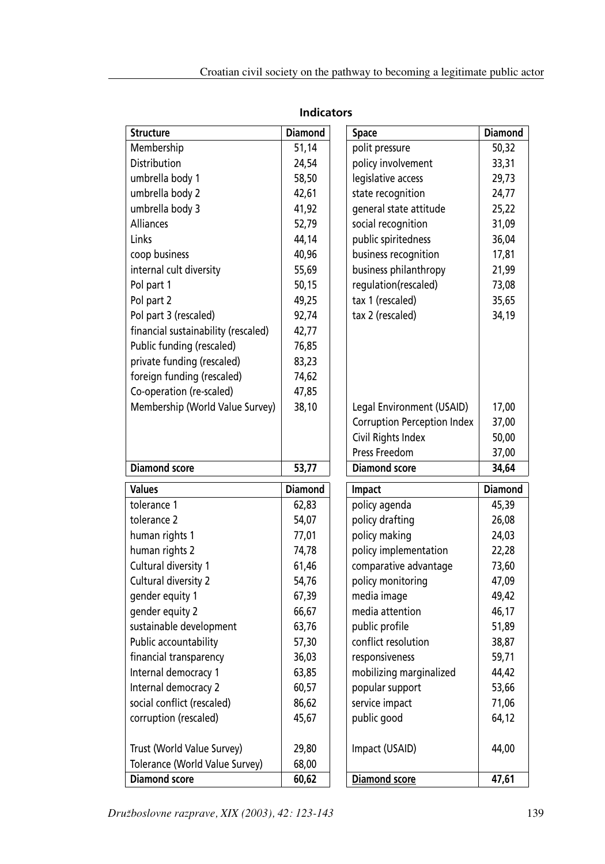| <b>Structure</b>                    | <b>Diamond</b> | <b>Space</b>                       | <b>Diamond</b> |
|-------------------------------------|----------------|------------------------------------|----------------|
| Membership                          | 51,14          | polit pressure                     | 50,32          |
| Distribution                        | 24,54          | policy involvement                 | 33,31          |
| umbrella body 1                     | 58,50          | legislative access                 | 29,73          |
| umbrella body 2                     | 42,61          | state recognition                  | 24,77          |
| umbrella body 3                     | 41,92          | general state attitude             | 25,22          |
| Alliances                           | 52,79          | social recognition                 | 31,09          |
| Links                               | 44,14          | public spiritedness                | 36,04          |
| coop business                       | 40,96          | business recognition               | 17,81          |
| internal cult diversity             | 55,69          | business philanthropy              | 21,99          |
| Pol part 1                          | 50,15          | regulation(rescaled)               | 73,08          |
| Pol part 2                          | 49,25          | tax 1 (rescaled)                   | 35,65          |
| Pol part 3 (rescaled)               | 92,74          | tax 2 (rescaled)                   | 34,19          |
| financial sustainability (rescaled) | 42,77          |                                    |                |
| Public funding (rescaled)           | 76,85          |                                    |                |
| private funding (rescaled)          | 83,23          |                                    |                |
| foreign funding (rescaled)          | 74,62          |                                    |                |
| Co-operation (re-scaled)            | 47,85          |                                    |                |
| Membership (World Value Survey)     | 38,10          | Legal Environment (USAID)          | 17,00          |
|                                     |                | <b>Corruption Perception Index</b> | 37,00          |
|                                     |                | Civil Rights Index                 | 50,00          |
|                                     |                | Press Freedom                      | 37,00          |
|                                     |                |                                    |                |
| <b>Diamond score</b>                | 53,77          | <b>Diamond score</b>               | 34,64          |
| <b>Values</b>                       | <b>Diamond</b> | Impact                             | <b>Diamond</b> |
| tolerance 1                         | 62,83          | policy agenda                      | 45,39          |
| tolerance 2                         | 54,07          | policy drafting                    | 26,08          |
| human rights 1                      | 77,01          | policy making                      | 24,03          |
| human rights 2                      | 74,78          | policy implementation              | 22,28          |
| Cultural diversity 1                | 61,46          | comparative advantage              | 73,60          |
| Cultural diversity 2                | 54,76          | policy monitoring                  | 47,09          |
| gender equity 1                     | 67,39          | media image                        | 49,42          |
| gender equity 2                     | 66,67          | media attention                    | 46,17          |
| sustainable development             | 63,76          | public profile                     | 51,89          |
| Public accountability               | 57,30          | conflict resolution                | 38,87          |
| financial transparency              | 36,03          | responsiveness                     | 59,71          |
| Internal democracy 1                | 63,85          | mobilizing marginalized            | 44,42          |
| Internal democracy 2                | 60,57          | popular support                    | 53,66          |
| social conflict (rescaled)          | 86,62          | service impact                     | 71,06          |
| corruption (rescaled)               | 45,67          | public good                        | 64,12          |
| Trust (World Value Survey)          | 29,80          | Impact (USAID)                     | 44,00          |
| Tolerance (World Value Survey)      | 68,00          |                                    |                |

# **Indicators**

*Druæboslovne razprave, XIX (2003), 42: 123-143* 139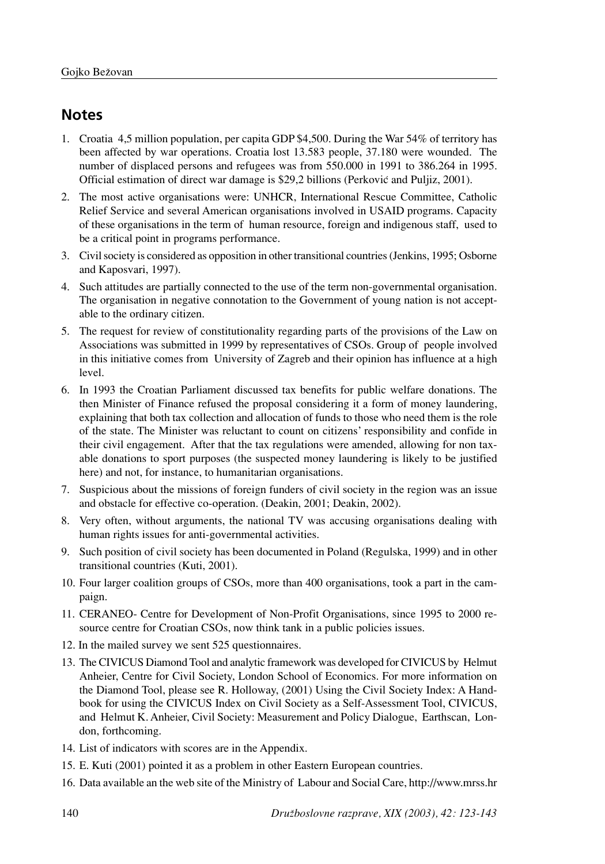# **Notes**

- 1. Croatia 4,5 million population, per capita GDP \$4,500. During the War 54% of territory has been affected by war operations. Croatia lost 13.583 people, 37.180 were wounded. The number of displaced persons and refugees was from 550.000 in 1991 to 386.264 in 1995. Official estimation of direct war damage is \$29,2 billions (Perković and Puljiz, 2001).
- 2. The most active organisations were: UNHCR, International Rescue Committee, Catholic Relief Service and several American organisations involved in USAID programs. Capacity of these organisations in the term of human resource, foreign and indigenous staff, used to be a critical point in programs performance.
- 3. Civil society is considered as opposition in other transitional countries (Jenkins, 1995; Osborne and Kaposvari, 1997).
- 4. Such attitudes are partially connected to the use of the term non-governmental organisation. The organisation in negative connotation to the Government of young nation is not acceptable to the ordinary citizen.
- 5. The request for review of constitutionality regarding parts of the provisions of the Law on Associations was submitted in 1999 by representatives of CSOs. Group of people involved in this initiative comes from University of Zagreb and their opinion has influence at a high level.
- 6. In 1993 the Croatian Parliament discussed tax benefits for public welfare donations. The then Minister of Finance refused the proposal considering it a form of money laundering, explaining that both tax collection and allocation of funds to those who need them is the role of the state. The Minister was reluctant to count on citizens' responsibility and confide in their civil engagement. After that the tax regulations were amended, allowing for non taxable donations to sport purposes (the suspected money laundering is likely to be justified here) and not, for instance, to humanitarian organisations.
- 7. Suspicious about the missions of foreign funders of civil society in the region was an issue and obstacle for effective co-operation. (Deakin, 2001; Deakin, 2002).
- 8. Very often, without arguments, the national TV was accusing organisations dealing with human rights issues for anti-governmental activities.
- 9. Such position of civil society has been documented in Poland (Regulska, 1999) and in other transitional countries (Kuti, 2001).
- 10. Four larger coalition groups of CSOs, more than 400 organisations, took a part in the campaign.
- 11. CERANEO- Centre for Development of Non-Profit Organisations, since 1995 to 2000 resource centre for Croatian CSOs, now think tank in a public policies issues.
- 12. In the mailed survey we sent 525 questionnaires.
- 13. The CIVICUS Diamond Tool and analytic framework was developed for CIVICUS by Helmut Anheier, Centre for Civil Society, London School of Economics. For more information on the Diamond Tool, please see R. Holloway, (2001) Using the Civil Society Index: A Handbook for using the CIVICUS Index on Civil Society as a Self-Assessment Tool, CIVICUS, and Helmut K. Anheier, Civil Society: Measurement and Policy Dialogue, Earthscan, London, forthcoming.
- 14. List of indicators with scores are in the Appendix.
- 15. E. Kuti (2001) pointed it as a problem in other Eastern European countries.
- 16. Data available an the web site of the Ministry of Labour and Social Care, http://www.mrss.hr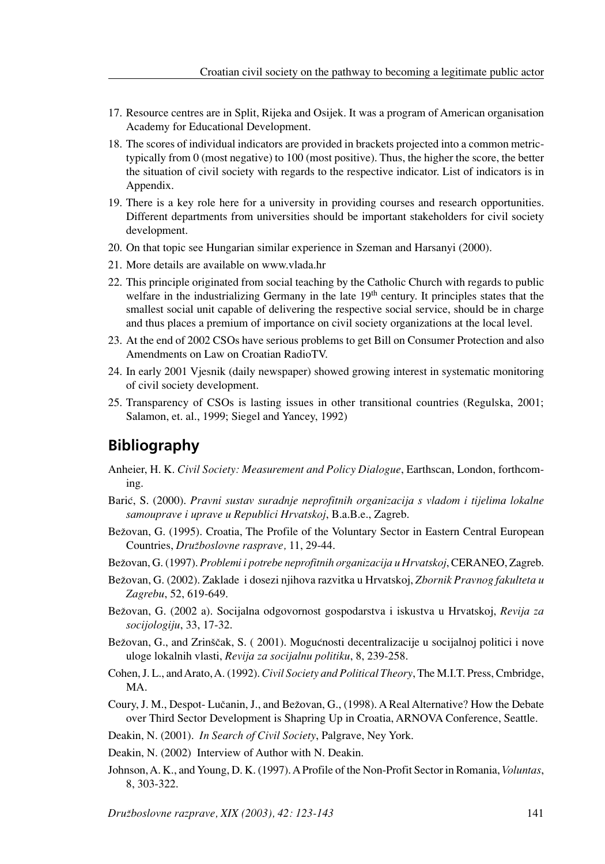- 17. Resource centres are in Split, Rijeka and Osijek. It was a program of American organisation Academy for Educational Development.
- 18. The scores of individual indicators are provided in brackets projected into a common metrictypically from 0 (most negative) to 100 (most positive). Thus, the higher the score, the better the situation of civil society with regards to the respective indicator. List of indicators is in Appendix.
- 19. There is a key role here for a university in providing courses and research opportunities. Different departments from universities should be important stakeholders for civil society development.
- 20. On that topic see Hungarian similar experience in Szeman and Harsanyi (2000).
- 21. More details are available on www.vlada.hr
- 22. This principle originated from social teaching by the Catholic Church with regards to public welfare in the industrializing Germany in the late  $19<sup>th</sup>$  century. It principles states that the smallest social unit capable of delivering the respective social service, should be in charge and thus places a premium of importance on civil society organizations at the local level.
- 23. At the end of 2002 CSOs have serious problems to get Bill on Consumer Protection and also Amendments on Law on Croatian RadioTV.
- 24. In early 2001 Vjesnik (daily newspaper) showed growing interest in systematic monitoring of civil society development.
- 25. Transparency of CSOs is lasting issues in other transitional countries (Regulska, 2001; Salamon, et. al., 1999; Siegel and Yancey, 1992)

# **Bibliography**

- Anheier, H. K. *Civil Society: Measurement and Policy Dialogue*, Earthscan, London, forthcoming.
- Barić, S. (2000). *Pravni sustav suradnje neprofitnih organizacija s vladom i tijelima lokalne samouprave i uprave u Republici Hrvatskoj*, B.a.B.e., Zagreb.
- Bežovan, G. (1995). Croatia, The Profile of the Voluntary Sector in Eastern Central European Countries, *Družboslovne rasprave*, 11, 29-44.

Beæovan, G. (1997). *Problemi i potrebe neprofitnih organizacija u Hrvatskoj*, CERANEO, Zagreb.

- Beæovan, G. (2002). Zaklade i dosezi njihova razvitka u Hrvatskoj, *Zbornik Pravnog fakulteta u Zagrebu*, 52, 619-649.
- Beæovan, G. (2002 a). Socijalna odgovornost gospodarstva i iskustva u Hrvatskoj, *Revija za socijologiju*, 33, 17-32.
- Bežovan, G., and Zrinščak, S. (2001). Mogućnosti decentralizacije u socijalnoj politici i nove uloge lokalnih vlasti, *Revija za socijalnu politiku*, 8, 239-258.
- Cohen, J. L., and Arato, A. (1992). *Civil Society and Political Theory*, The M.I.T. Press, Cmbridge, MA.
- Coury, J. M., Despot- Lučanin, J., and Bežovan, G., (1998). A Real Alternative? How the Debate over Third Sector Development is Shapring Up in Croatia, ARNOVA Conference, Seattle.
- Deakin, N. (2001). *In Search of Civil Society*, Palgrave, Ney York.
- Deakin, N. (2002) Interview of Author with N. Deakin.
- Johnson, A. K., and Young, D. K. (1997). A Profile of the Non-Profit Sector in Romania, *Voluntas*, 8, 303-322.

*Druæboslovne razprave, XIX (2003), 42: 123-143* 141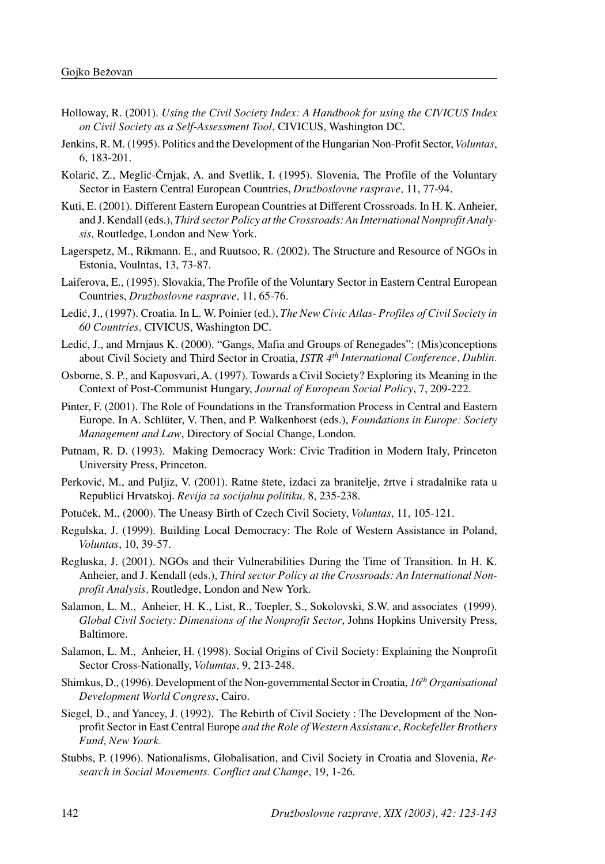- Holloway, R. (2001). *Using the Civil Society Index: A Handbook for using the CIVICUS Index on Civil Society as a Self-Assessment Tool*, CIVICUS, Washington DC.
- Jenkins, R. M. (1995). Politics and the Development of the Hungarian Non-Profit Sector, *Voluntas*, 6, 183-201.
- Kolarič, Z., Meglić-Črnjak, A. and Svetlik, I. (1995). Slovenia, The Profile of the Voluntary Sector in Eastern Central European Countries, *Druæboslovne rasprave,* 11, 77-94.
- Kuti, E. (2001). Different Eastern European Countries at Different Crossroads. In H. K. Anheier, and J. Kendall (eds.), *Third sector Policy at the Crossroads: An International Nonprofit Analysis,* Routledge, London and New York.
- Lagerspetz, M., Rikmann. E., and Ruutsoo, R. (2002). The Structure and Resource of NGOs in Estonia, Voulntas, 13, 73-87.
- Laiferova, E., (1995). Slovakia, The Profile of the Voluntary Sector in Eastern Central European Countries, *Druæboslovne rasprave,* 11, 65-76.
- Ledić, J., (1997). Croatia. In L. W. Poinier (ed.), *The New Civic Atlas-Profiles of Civil Society in 60 Countries,* CIVICUS, Washington DC.
- Ledić, J., and Mrnjaus K. (2000). "Gangs, Mafia and Groups of Renegades": (Mis)conceptions about Civil Society and Third Sector in Croatia, *ISTR 4th International Conference, Dublin.*
- Osborne, S. P., and Kaposvari, A. (1997). Towards a Civil Society? Exploring its Meaning in the Context of Post-Communist Hungary, *Journal of European Social Policy*, 7, 209-222.
- Pinter, F. (2001). The Role of Foundations in the Transformation Process in Central and Eastern Europe. In A. Schlüter, V. Then, and P. Walkenhorst (eds.), *Foundations in Europe: Society Management and Law*, Directory of Social Change, London.
- Putnam, R. D. (1993). Making Democracy Work: Civic Tradition in Modern Italy, Princeton University Press, Princeton.
- Perković, M., and Puljiz, V. (2001). Ratne štete, izdaci za branitelje, žrtve i stradalnike rata u Republici Hrvatskoj. *Revija za socijalnu politiku,* 8, 235-238.
- PotuËek, M., (2000). The Uneasy Birth of Czech Civil Society, *Voluntas*, 11, 105-121.
- Regulska, J. (1999). Building Local Democracy: The Role of Western Assistance in Poland, *Voluntas*, 10, 39-57.
- Regluska, J. (2001). NGOs and their Vulnerabilities During the Time of Transition. In H. K. Anheier, and J. Kendall (eds.), *Third sector Policy at the Crossroads: An International Nonprofit Analysis,* Routledge, London and New York.
- Salamon, L. M., Anheier, H. K., List, R., Toepler, S., Sokolovski, S.W. and associates (1999). *Global Civil Society: Dimensions of the Nonprofit Sector*, Johns Hopkins University Press, Baltimore.
- Salamon, L. M., Anheier, H. (1998). Social Origins of Civil Society: Explaining the Nonprofit Sector Cross-Nationally, *Volumtas,* 9, 213-248.
- Shimkus, D., (1996). Development of the Non-governmental Sector in Croatia, *16th Organisational Development World Congress*, Cairo.
- Siegel, D., and Yancey, J. (1992). The Rebirth of Civil Society : The Development of the Nonprofit Sector in East Central Europe *and the Role of Western Assistance, Rockefeller Brothers Fund, New Yourk.*
- Stubbs, P. (1996). Nationalisms, Globalisation, and Civil Society in Croatia and Slovenia, *Research in Social Movements. Conflict and Change,* 19, 1-26.